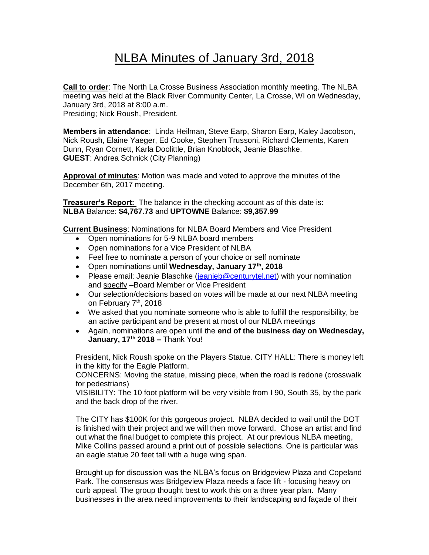## NLBA Minutes of January 3rd, 2018

**Call to order**: The North La Crosse Business Association monthly meeting. The NLBA meeting was held at the Black River Community Center, La Crosse, WI on Wednesday, January 3rd, 2018 at 8:00 a.m. Presiding; Nick Roush, President.

**Members in attendance**: Linda Heilman, Steve Earp, Sharon Earp, Kaley Jacobson, Nick Roush, Elaine Yaeger, Ed Cooke, Stephen Trussoni, Richard Clements, Karen Dunn, Ryan Cornett, Karla Doolittle, Brian Knoblock, Jeanie Blaschke. **GUEST**: Andrea Schnick (City Planning)

**Approval of minutes**: Motion was made and voted to approve the minutes of the December 6th, 2017 meeting.

**Treasurer's Report:** The balance in the checking account as of this date is: **NLBA** Balance: **\$4,767.73** and **UPTOWNE** Balance: **\$9,357.99**

**Current Business**: Nominations for NLBA Board Members and Vice President

- Open nominations for 5-9 NLBA board members
- Open nominations for a Vice President of NLBA
- Feel free to nominate a person of your choice or self nominate
- Open nominations until **Wednesday, January 17th, 2018**
- Please email: Jeanie Blaschke [\(jeanieb@centurytel.net\)](mailto:jeanieb@centurytel.net) with your nomination and specify –Board Member or Vice President
- Our selection/decisions based on votes will be made at our next NLBA meeting on February 7<sup>th</sup>, 2018
- We asked that you nominate someone who is able to fulfill the responsibility, be an active participant and be present at most of our NLBA meetings
- Again, nominations are open until the **end of the business day on Wednesday, January, 17th 2018 –** Thank You!

President, Nick Roush spoke on the Players Statue. CITY HALL: There is money left in the kitty for the Eagle Platform.

CONCERNS: Moving the statue, missing piece, when the road is redone (crosswalk for pedestrians)

VISIBILITY: The 10 foot platform will be very visible from I 90, South 35, by the park and the back drop of the river.

The CITY has \$100K for this gorgeous project. NLBA decided to wail until the DOT is finished with their project and we will then move forward. Chose an artist and find out what the final budget to complete this project. At our previous NLBA meeting, Mike Collins passed around a print out of possible selections. One is particular was an eagle statue 20 feet tall with a huge wing span.

Brought up for discussion was the NLBA's focus on Bridgeview Plaza and Copeland Park. The consensus was Bridgeview Plaza needs a face lift - focusing heavy on curb appeal. The group thought best to work this on a three year plan. Many businesses in the area need improvements to their landscaping and façade of their